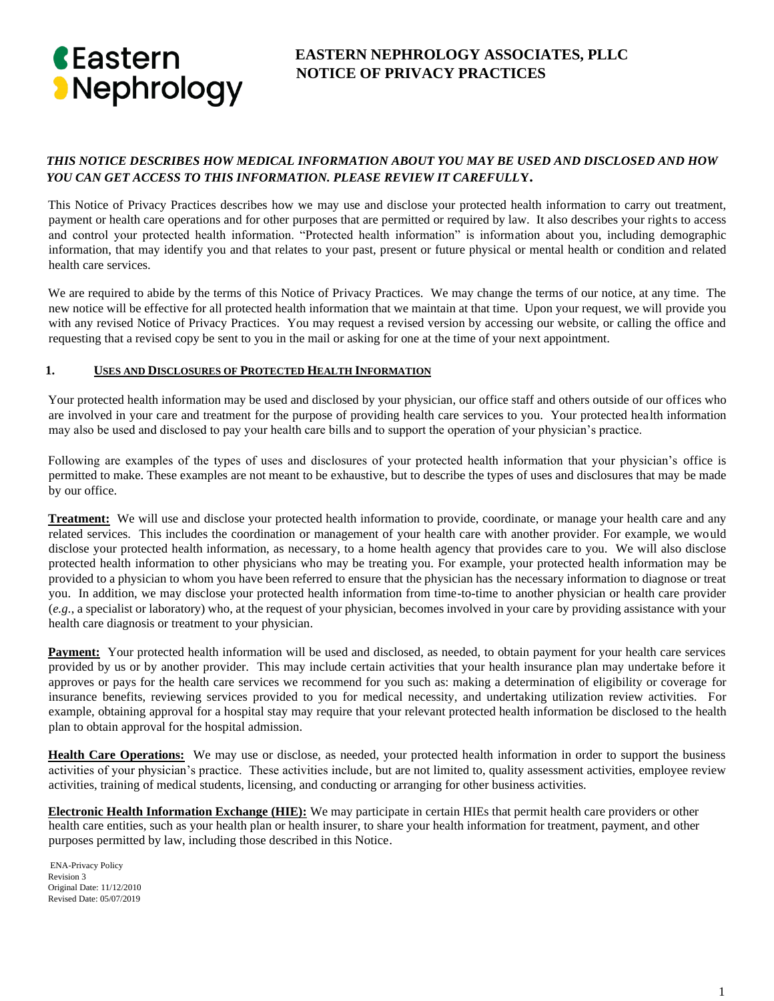# **CEastern Mephrology**

# **EASTERN NEPHROLOGY ASSOCIATES, PLLC NOTICE OF PRIVACY PRACTICES**

## *THIS NOTICE DESCRIBES HOW MEDICAL INFORMATION ABOUT YOU MAY BE USED AND DISCLOSED AND HOW YOU CAN GET ACCESS TO THIS INFORMATION. PLEASE REVIEW IT CAREFULL***Y.**

This Notice of Privacy Practices describes how we may use and disclose your protected health information to carry out treatment, payment or health care operations and for other purposes that are permitted or required by law. It also describes your rights to access and control your protected health information. "Protected health information" is information about you, including demographic information, that may identify you and that relates to your past, present or future physical or mental health or condition and related health care services.

We are required to abide by the terms of this Notice of Privacy Practices. We may change the terms of our notice, at any time. The new notice will be effective for all protected health information that we maintain at that time. Upon your request, we will provide you with any revised Notice of Privacy Practices. You may request a revised version by accessing our website, or calling the office and requesting that a revised copy be sent to you in the mail or asking for one at the time of your next appointment.

#### **1. USES AND DISCLOSURES OF PROTECTED HEALTH INFORMATION**

Your protected health information may be used and disclosed by your physician, our office staff and others outside of our offices who are involved in your care and treatment for the purpose of providing health care services to you. Your protected health information may also be used and disclosed to pay your health care bills and to support the operation of your physician's practice.

Following are examples of the types of uses and disclosures of your protected health information that your physician's office is permitted to make. These examples are not meant to be exhaustive, but to describe the types of uses and disclosures that may be made by our office.

**Treatment:** We will use and disclose your protected health information to provide, coordinate, or manage your health care and any related services. This includes the coordination or management of your health care with another provider. For example, we would disclose your protected health information, as necessary, to a home health agency that provides care to you. We will also disclose protected health information to other physicians who may be treating you. For example, your protected health information may be provided to a physician to whom you have been referred to ensure that the physician has the necessary information to diagnose or treat you. In addition, we may disclose your protected health information from time-to-time to another physician or health care provider (*e.g.*, a specialist or laboratory) who, at the request of your physician, becomes involved in your care by providing assistance with your health care diagnosis or treatment to your physician.

**Payment:** Your protected health information will be used and disclosed, as needed, to obtain payment for your health care services provided by us or by another provider. This may include certain activities that your health insurance plan may undertake before it approves or pays for the health care services we recommend for you such as: making a determination of eligibility or coverage for insurance benefits, reviewing services provided to you for medical necessity, and undertaking utilization review activities. For example, obtaining approval for a hospital stay may require that your relevant protected health information be disclosed to the health plan to obtain approval for the hospital admission.

**Health Care Operations:** We may use or disclose, as needed, your protected health information in order to support the business activities of your physician's practice. These activities include, but are not limited to, quality assessment activities, employee review activities, training of medical students, licensing, and conducting or arranging for other business activities.

**Electronic Health Information Exchange (HIE):** We may participate in certain HIEs that permit health care providers or other health care entities, such as your health plan or health insurer, to share your health information for treatment, payment, and other purposes permitted by law, including those described in this Notice.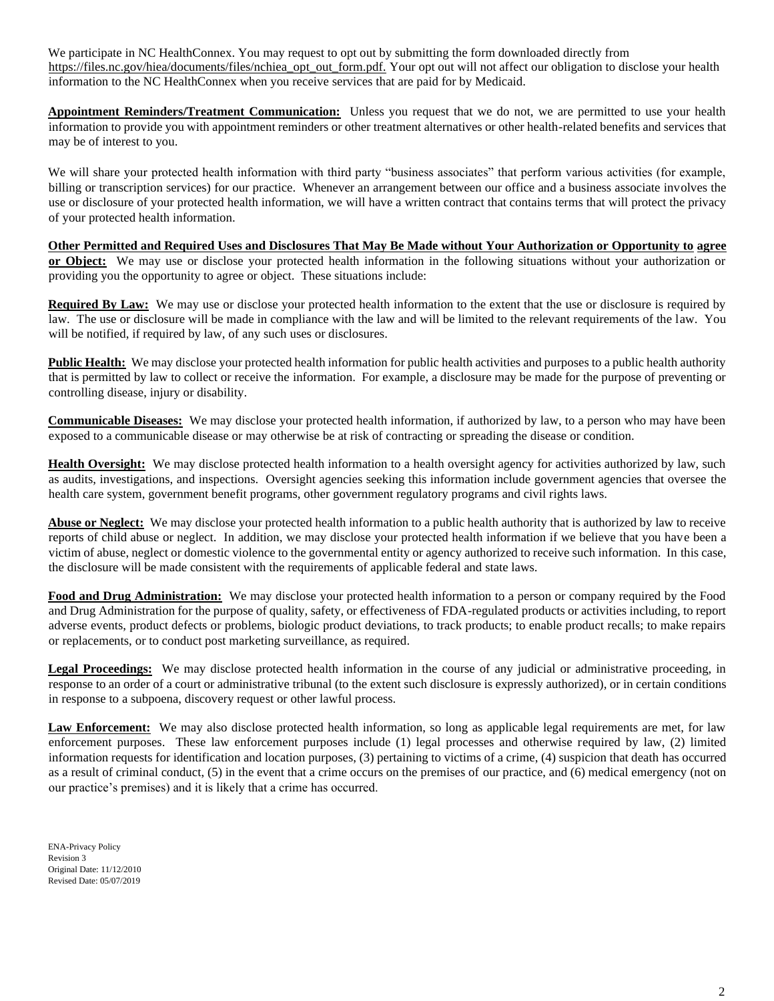We participate in NC HealthConnex. You may request to opt out by submitting the form downloaded directly from https://files.nc.gov/hiea/documents/files/nchiea\_opt\_out\_form.pdf. Your opt out will not affect our obligation to disclose your health information to the NC HealthConnex when you receive services that are paid for by Medicaid.

**Appointment Reminders/Treatment Communication:** Unless you request that we do not, we are permitted to use your health information to provide you with appointment reminders or other treatment alternatives or other health-related benefits and services that may be of interest to you.

We will share your protected health information with third party "business associates" that perform various activities (for example, billing or transcription services) for our practice. Whenever an arrangement between our office and a business associate involves the use or disclosure of your protected health information, we will have a written contract that contains terms that will protect the privacy of your protected health information.

**Other Permitted and Required Uses and Disclosures That May Be Made without Your Authorization or Opportunity to agree or Object:** We may use or disclose your protected health information in the following situations without your authorization or providing you the opportunity to agree or object. These situations include:

**Required By Law:** We may use or disclose your protected health information to the extent that the use or disclosure is required by law. The use or disclosure will be made in compliance with the law and will be limited to the relevant requirements of the law. You will be notified, if required by law, of any such uses or disclosures.

**Public Health:** We may disclose your protected health information for public health activities and purposes to a public health authority that is permitted by law to collect or receive the information. For example, a disclosure may be made for the purpose of preventing or controlling disease, injury or disability.

**Communicable Diseases:** We may disclose your protected health information, if authorized by law, to a person who may have been exposed to a communicable disease or may otherwise be at risk of contracting or spreading the disease or condition.

**Health Oversight:** We may disclose protected health information to a health oversight agency for activities authorized by law, such as audits, investigations, and inspections. Oversight agencies seeking this information include government agencies that oversee the health care system, government benefit programs, other government regulatory programs and civil rights laws.

**Abuse or Neglect:** We may disclose your protected health information to a public health authority that is authorized by law to receive reports of child abuse or neglect. In addition, we may disclose your protected health information if we believe that you have been a victim of abuse, neglect or domestic violence to the governmental entity or agency authorized to receive such information. In this case, the disclosure will be made consistent with the requirements of applicable federal and state laws.

**Food and Drug Administration:** We may disclose your protected health information to a person or company required by the Food and Drug Administration for the purpose of quality, safety, or effectiveness of FDA-regulated products or activities including, to report adverse events, product defects or problems, biologic product deviations, to track products; to enable product recalls; to make repairs or replacements, or to conduct post marketing surveillance, as required.

**Legal Proceedings:** We may disclose protected health information in the course of any judicial or administrative proceeding, in response to an order of a court or administrative tribunal (to the extent such disclosure is expressly authorized), or in certain conditions in response to a subpoena, discovery request or other lawful process.

Law Enforcement: We may also disclose protected health information, so long as applicable legal requirements are met, for law enforcement purposes. These law enforcement purposes include (1) legal processes and otherwise required by law, (2) limited information requests for identification and location purposes, (3) pertaining to victims of a crime, (4) suspicion that death has occurred as a result of criminal conduct, (5) in the event that a crime occurs on the premises of our practice, and (6) medical emergency (not on our practice's premises) and it is likely that a crime has occurred.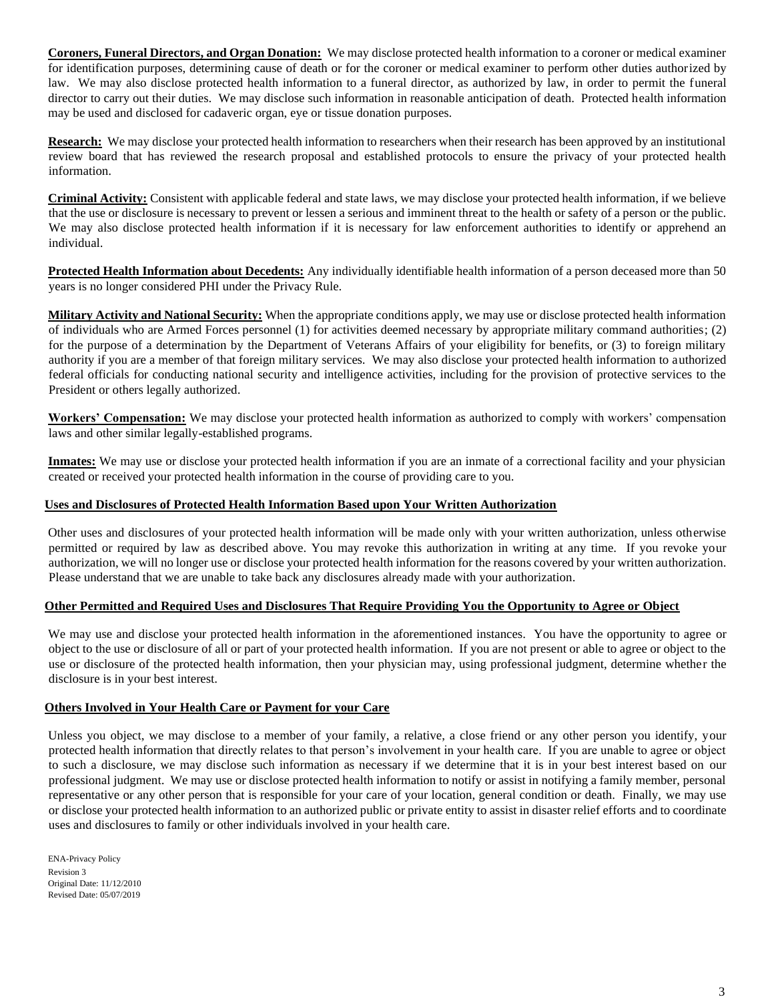**Coroners, Funeral Directors, and Organ Donation:** We may disclose protected health information to a coroner or medical examiner for identification purposes, determining cause of death or for the coroner or medical examiner to perform other duties authorized by law. We may also disclose protected health information to a funeral director, as authorized by law, in order to permit the funeral director to carry out their duties. We may disclose such information in reasonable anticipation of death. Protected health information may be used and disclosed for cadaveric organ, eye or tissue donation purposes.

**Research:** We may disclose your protected health information to researchers when their research has been approved by an institutional review board that has reviewed the research proposal and established protocols to ensure the privacy of your protected health information.

**Criminal Activity:** Consistent with applicable federal and state laws, we may disclose your protected health information, if we believe that the use or disclosure is necessary to prevent or lessen a serious and imminent threat to the health or safety of a person or the public. We may also disclose protected health information if it is necessary for law enforcement authorities to identify or apprehend an individual.

**Protected Health Information about Decedents:** Any individually identifiable health information of a person deceased more than 50 years is no longer considered PHI under the Privacy Rule.

**Military Activity and National Security:** When the appropriate conditions apply, we may use or disclose protected health information of individuals who are Armed Forces personnel (1) for activities deemed necessary by appropriate military command authorities; (2) for the purpose of a determination by the Department of Veterans Affairs of your eligibility for benefits, or (3) to foreign military authority if you are a member of that foreign military services. We may also disclose your protected health information to authorized federal officials for conducting national security and intelligence activities, including for the provision of protective services to the President or others legally authorized.

**Workers' Compensation:** We may disclose your protected health information as authorized to comply with workers' compensation laws and other similar legally-established programs.

**Inmates:** We may use or disclose your protected health information if you are an inmate of a correctional facility and your physician created or received your protected health information in the course of providing care to you.

#### **Uses and Disclosures of Protected Health Information Based upon Your Written Authorization**

Other uses and disclosures of your protected health information will be made only with your written authorization, unless otherwise permitted or required by law as described above. You may revoke this authorization in writing at any time. If you revoke your authorization, we will no longer use or disclose your protected health information for the reasons covered by your written authorization. Please understand that we are unable to take back any disclosures already made with your authorization.

#### **Other Permitted and Required Uses and Disclosures That Require Providing You the Opportunity to Agree or Object**

We may use and disclose your protected health information in the aforementioned instances. You have the opportunity to agree or object to the use or disclosure of all or part of your protected health information. If you are not present or able to agree or object to the use or disclosure of the protected health information, then your physician may, using professional judgment, determine whether the disclosure is in your best interest.

#### **Others Involved in Your Health Care or Payment for your Care**

Unless you object, we may disclose to a member of your family, a relative, a close friend or any other person you identify, your protected health information that directly relates to that person's involvement in your health care. If you are unable to agree or object to such a disclosure, we may disclose such information as necessary if we determine that it is in your best interest based on our professional judgment. We may use or disclose protected health information to notify or assist in notifying a family member, personal representative or any other person that is responsible for your care of your location, general condition or death. Finally, we may use or disclose your protected health information to an authorized public or private entity to assist in disaster relief efforts and to coordinate uses and disclosures to family or other individuals involved in your health care.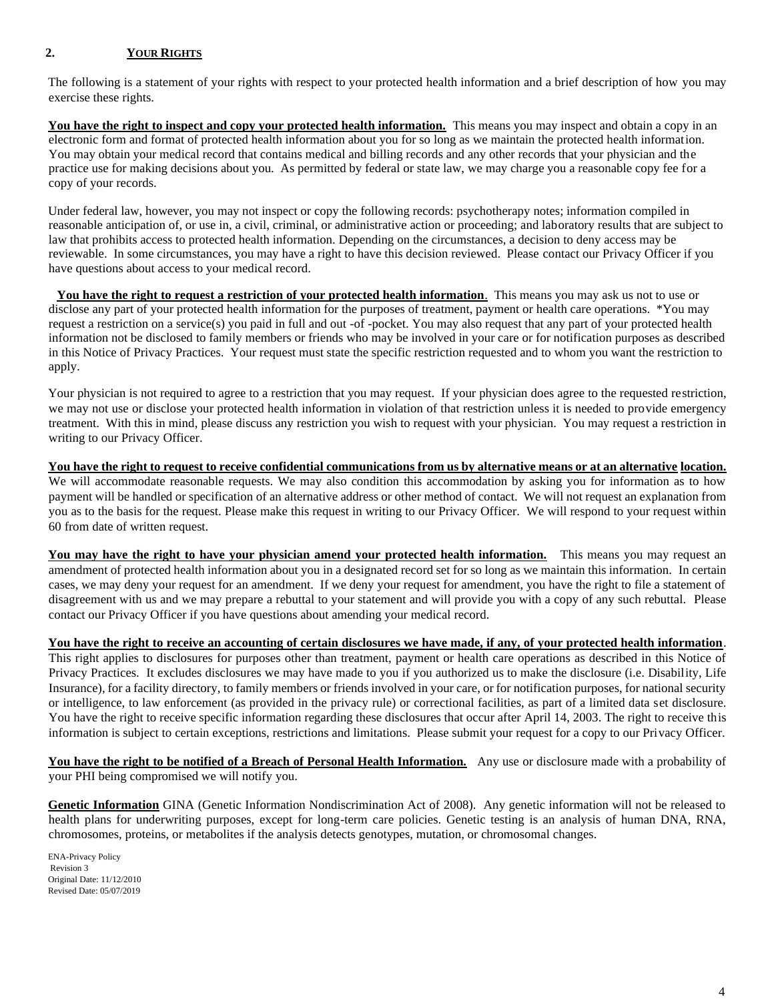## **2. YOUR RIGHTS**

The following is a statement of your rights with respect to your protected health information and a brief description of how you may exercise these rights.

You have the right to inspect and copy your protected health information. This means you may inspect and obtain a copy in an electronic form and format of protected health information about you for so long as we maintain the protected health information. You may obtain your medical record that contains medical and billing records and any other records that your physician and the practice use for making decisions about you. As permitted by federal or state law, we may charge you a reasonable copy fee for a copy of your records.

Under federal law, however, you may not inspect or copy the following records: psychotherapy notes; information compiled in reasonable anticipation of, or use in, a civil, criminal, or administrative action or proceeding; and laboratory results that are subject to law that prohibits access to protected health information. Depending on the circumstances, a decision to deny access may be reviewable. In some circumstances, you may have a right to have this decision reviewed. Please contact our Privacy Officer if you have questions about access to your medical record.

**You have the right to request a restriction of your protected health information**. This means you may ask us not to use or disclose any part of your protected health information for the purposes of treatment, payment or health care operations. \*You may request a restriction on a service(s) you paid in full and out -of -pocket. You may also request that any part of your protected health information not be disclosed to family members or friends who may be involved in your care or for notification purposes as described in this Notice of Privacy Practices. Your request must state the specific restriction requested and to whom you want the restriction to apply.

Your physician is not required to agree to a restriction that you may request. If your physician does agree to the requested restriction, we may not use or disclose your protected health information in violation of that restriction unless it is needed to provide emergency treatment. With this in mind, please discuss any restriction you wish to request with your physician. You may request a restriction in writing to our Privacy Officer.

**You have the right to request to receive confidential communications from us by alternative means or at an alternative location.** We will accommodate reasonable requests. We may also condition this accommodation by asking you for information as to how payment will be handled or specification of an alternative address or other method of contact. We will not request an explanation from you as to the basis for the request. Please make this request in writing to our Privacy Officer. We will respond to your request within 60 from date of written request.

You may have the right to have your physician amend your protected health information. This means you may request an amendment of protected health information about you in a designated record set for so long as we maintain this information. In certain cases, we may deny your request for an amendment. If we deny your request for amendment, you have the right to file a statement of disagreement with us and we may prepare a rebuttal to your statement and will provide you with a copy of any such rebuttal. Please contact our Privacy Officer if you have questions about amending your medical record.

**You have the right to receive an accounting of certain disclosures we have made, if any, of your protected health information**. This right applies to disclosures for purposes other than treatment, payment or health care operations as described in this Notice of Privacy Practices. It excludes disclosures we may have made to you if you authorized us to make the disclosure (i.e. Disability, Life Insurance), for a facility directory, to family members or friends involved in your care, or for notification purposes, for national security or intelligence, to law enforcement (as provided in the privacy rule) or correctional facilities, as part of a limited data set disclosure. You have the right to receive specific information regarding these disclosures that occur after April 14, 2003. The right to receive this information is subject to certain exceptions, restrictions and limitations. Please submit your request for a copy to our Privacy Officer.

**You have the right to be notified of a Breach of Personal Health Information.** Any use or disclosure made with a probability of your PHI being compromised we will notify you.

**Genetic Information** GINA (Genetic Information Nondiscrimination Act of 2008). Any genetic information will not be released to health plans for underwriting purposes, except for long-term care policies. Genetic testing is an analysis of human DNA, RNA, chromosomes, proteins, or metabolites if the analysis detects genotypes, mutation, or chromosomal changes.